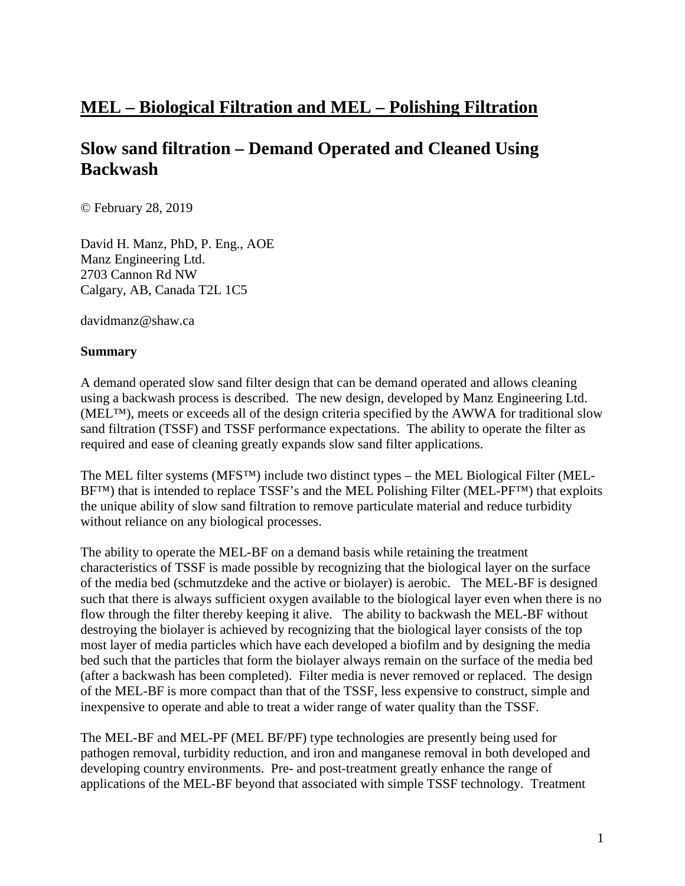# **MEL – Biological Filtration and MEL – Polishing Filtration**

## **Slow sand filtration – Demand Operated and Cleaned Using Backwash**

© February 28, 2019

David H. Manz, PhD, P. Eng., AOE Manz Engineering Ltd. 2703 Cannon Rd NW Calgary, AB, Canada T2L 1C5

davidmanz@shaw.ca

#### **Summary**

A demand operated slow sand filter design that can be demand operated and allows cleaning using a backwash process is described. The new design, developed by Manz Engineering Ltd. (MEL™), meets or exceeds all of the design criteria specified by the AWWA for traditional slow sand filtration (TSSF) and TSSF performance expectations. The ability to operate the filter as required and ease of cleaning greatly expands slow sand filter applications.

The MEL filter systems (MFS™) include two distinct types – the MEL Biological Filter (MEL-BF<sup>TM</sup>) that is intended to replace TSSF's and the MEL Polishing Filter (MEL-PF<sup>TM</sup>) that exploits the unique ability of slow sand filtration to remove particulate material and reduce turbidity without reliance on any biological processes.

The ability to operate the MEL-BF on a demand basis while retaining the treatment characteristics of TSSF is made possible by recognizing that the biological layer on the surface of the media bed (schmutzdeke and the active or biolayer) is aerobic. The MEL-BF is designed such that there is always sufficient oxygen available to the biological layer even when there is no flow through the filter thereby keeping it alive. The ability to backwash the MEL-BF without destroying the biolayer is achieved by recognizing that the biological layer consists of the top most layer of media particles which have each developed a biofilm and by designing the media bed such that the particles that form the biolayer always remain on the surface of the media bed (after a backwash has been completed). Filter media is never removed or replaced. The design of the MEL-BF is more compact than that of the TSSF, less expensive to construct, simple and inexpensive to operate and able to treat a wider range of water quality than the TSSF.

The MEL-BF and MEL-PF (MEL BF/PF) type technologies are presently being used for pathogen removal, turbidity reduction, and iron and manganese removal in both developed and developing country environments. Pre- and post-treatment greatly enhance the range of applications of the MEL-BF beyond that associated with simple TSSF technology. Treatment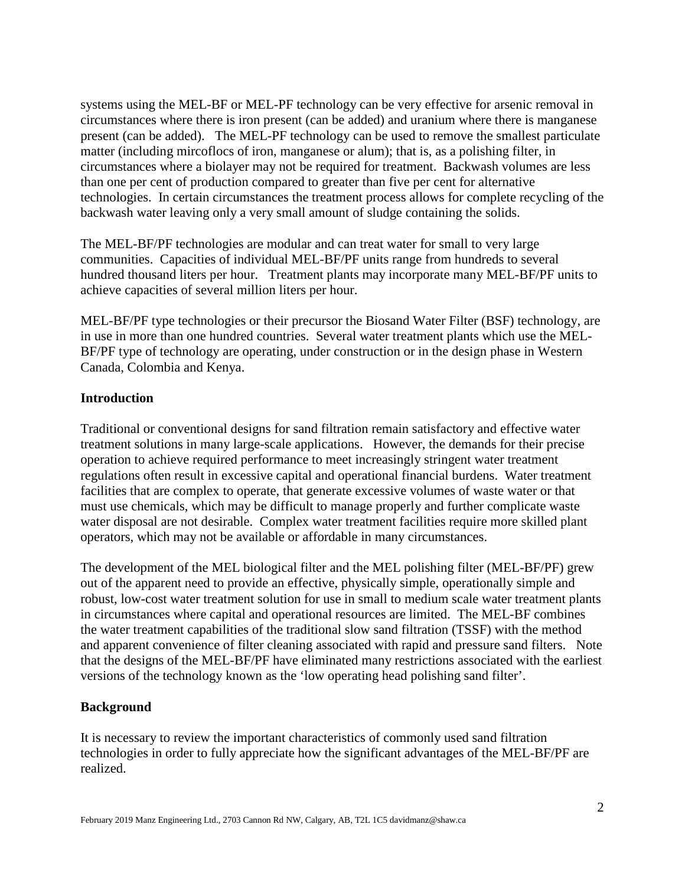systems using the MEL-BF or MEL-PF technology can be very effective for arsenic removal in circumstances where there is iron present (can be added) and uranium where there is manganese present (can be added). The MEL-PF technology can be used to remove the smallest particulate matter (including mircoflocs of iron, manganese or alum); that is, as a polishing filter, in circumstances where a biolayer may not be required for treatment. Backwash volumes are less than one per cent of production compared to greater than five per cent for alternative technologies. In certain circumstances the treatment process allows for complete recycling of the backwash water leaving only a very small amount of sludge containing the solids.

The MEL-BF/PF technologies are modular and can treat water for small to very large communities. Capacities of individual MEL-BF/PF units range from hundreds to several hundred thousand liters per hour. Treatment plants may incorporate many MEL-BF/PF units to achieve capacities of several million liters per hour.

MEL-BF/PF type technologies or their precursor the Biosand Water Filter (BSF) technology, are in use in more than one hundred countries. Several water treatment plants which use the MEL-BF/PF type of technology are operating, under construction or in the design phase in Western Canada, Colombia and Kenya.

## **Introduction**

Traditional or conventional designs for sand filtration remain satisfactory and effective water treatment solutions in many large-scale applications. However, the demands for their precise operation to achieve required performance to meet increasingly stringent water treatment regulations often result in excessive capital and operational financial burdens. Water treatment facilities that are complex to operate, that generate excessive volumes of waste water or that must use chemicals, which may be difficult to manage properly and further complicate waste water disposal are not desirable. Complex water treatment facilities require more skilled plant operators, which may not be available or affordable in many circumstances.

The development of the MEL biological filter and the MEL polishing filter (MEL-BF/PF) grew out of the apparent need to provide an effective, physically simple, operationally simple and robust, low-cost water treatment solution for use in small to medium scale water treatment plants in circumstances where capital and operational resources are limited. The MEL-BF combines the water treatment capabilities of the traditional slow sand filtration (TSSF) with the method and apparent convenience of filter cleaning associated with rapid and pressure sand filters. Note that the designs of the MEL-BF/PF have eliminated many restrictions associated with the earliest versions of the technology known as the 'low operating head polishing sand filter'.

## **Background**

It is necessary to review the important characteristics of commonly used sand filtration technologies in order to fully appreciate how the significant advantages of the MEL-BF/PF are realized.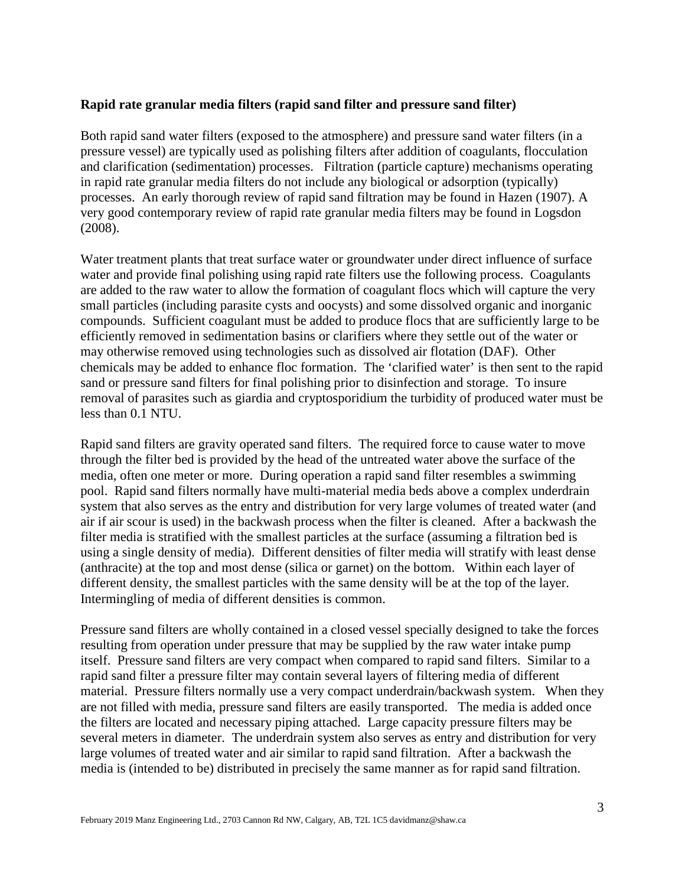### **Rapid rate granular media filters (rapid sand filter and pressure sand filter)**

Both rapid sand water filters (exposed to the atmosphere) and pressure sand water filters (in a pressure vessel) are typically used as polishing filters after addition of coagulants, flocculation and clarification (sedimentation) processes. Filtration (particle capture) mechanisms operating in rapid rate granular media filters do not include any biological or adsorption (typically) processes. An early thorough review of rapid sand filtration may be found in Hazen (1907). A very good contemporary review of rapid rate granular media filters may be found in Logsdon (2008).

Water treatment plants that treat surface water or groundwater under direct influence of surface water and provide final polishing using rapid rate filters use the following process. Coagulants are added to the raw water to allow the formation of coagulant flocs which will capture the very small particles (including parasite cysts and oocysts) and some dissolved organic and inorganic compounds. Sufficient coagulant must be added to produce flocs that are sufficiently large to be efficiently removed in sedimentation basins or clarifiers where they settle out of the water or may otherwise removed using technologies such as dissolved air flotation (DAF). Other chemicals may be added to enhance floc formation. The 'clarified water' is then sent to the rapid sand or pressure sand filters for final polishing prior to disinfection and storage. To insure removal of parasites such as giardia and cryptosporidium the turbidity of produced water must be less than 0.1 NTU.

Rapid sand filters are gravity operated sand filters. The required force to cause water to move through the filter bed is provided by the head of the untreated water above the surface of the media, often one meter or more. During operation a rapid sand filter resembles a swimming pool. Rapid sand filters normally have multi-material media beds above a complex underdrain system that also serves as the entry and distribution for very large volumes of treated water (and air if air scour is used) in the backwash process when the filter is cleaned. After a backwash the filter media is stratified with the smallest particles at the surface (assuming a filtration bed is using a single density of media). Different densities of filter media will stratify with least dense (anthracite) at the top and most dense (silica or garnet) on the bottom. Within each layer of different density, the smallest particles with the same density will be at the top of the layer. Intermingling of media of different densities is common.

Pressure sand filters are wholly contained in a closed vessel specially designed to take the forces resulting from operation under pressure that may be supplied by the raw water intake pump itself. Pressure sand filters are very compact when compared to rapid sand filters. Similar to a rapid sand filter a pressure filter may contain several layers of filtering media of different material. Pressure filters normally use a very compact underdrain/backwash system. When they are not filled with media, pressure sand filters are easily transported. The media is added once the filters are located and necessary piping attached. Large capacity pressure filters may be several meters in diameter. The underdrain system also serves as entry and distribution for very large volumes of treated water and air similar to rapid sand filtration. After a backwash the media is (intended to be) distributed in precisely the same manner as for rapid sand filtration.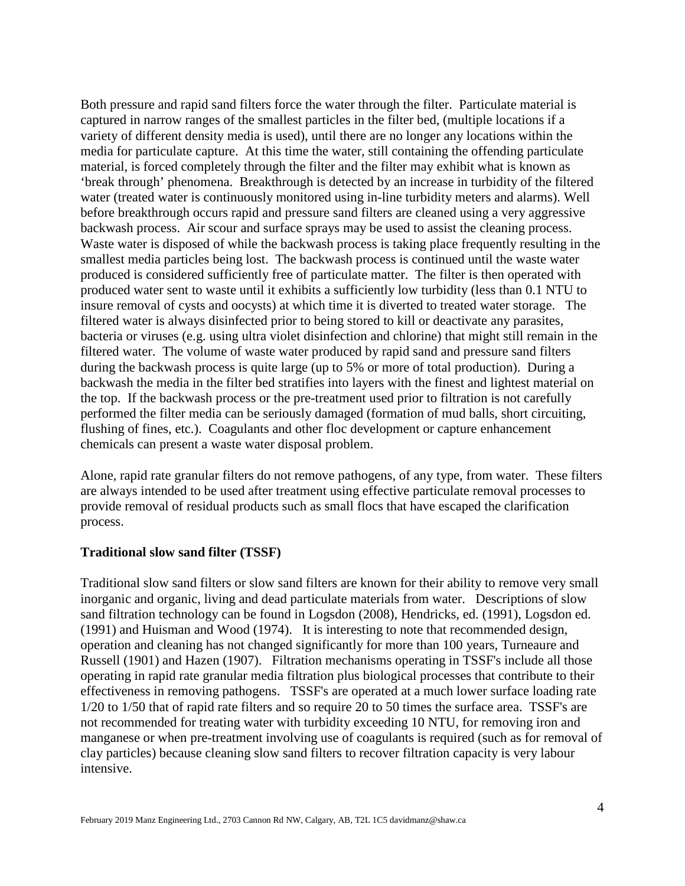Both pressure and rapid sand filters force the water through the filter. Particulate material is captured in narrow ranges of the smallest particles in the filter bed, (multiple locations if a variety of different density media is used), until there are no longer any locations within the media for particulate capture. At this time the water, still containing the offending particulate material, is forced completely through the filter and the filter may exhibit what is known as 'break through' phenomena. Breakthrough is detected by an increase in turbidity of the filtered water (treated water is continuously monitored using in-line turbidity meters and alarms). Well before breakthrough occurs rapid and pressure sand filters are cleaned using a very aggressive backwash process. Air scour and surface sprays may be used to assist the cleaning process. Waste water is disposed of while the backwash process is taking place frequently resulting in the smallest media particles being lost. The backwash process is continued until the waste water produced is considered sufficiently free of particulate matter. The filter is then operated with produced water sent to waste until it exhibits a sufficiently low turbidity (less than 0.1 NTU to insure removal of cysts and oocysts) at which time it is diverted to treated water storage. The filtered water is always disinfected prior to being stored to kill or deactivate any parasites, bacteria or viruses (e.g. using ultra violet disinfection and chlorine) that might still remain in the filtered water. The volume of waste water produced by rapid sand and pressure sand filters during the backwash process is quite large (up to 5% or more of total production). During a backwash the media in the filter bed stratifies into layers with the finest and lightest material on the top. If the backwash process or the pre-treatment used prior to filtration is not carefully performed the filter media can be seriously damaged (formation of mud balls, short circuiting, flushing of fines, etc.). Coagulants and other floc development or capture enhancement chemicals can present a waste water disposal problem.

Alone, rapid rate granular filters do not remove pathogens, of any type, from water. These filters are always intended to be used after treatment using effective particulate removal processes to provide removal of residual products such as small flocs that have escaped the clarification process.

#### **Traditional slow sand filter (TSSF)**

Traditional slow sand filters or slow sand filters are known for their ability to remove very small inorganic and organic, living and dead particulate materials from water. Descriptions of slow sand filtration technology can be found in Logsdon (2008), Hendricks, ed. (1991), Logsdon ed. (1991) and Huisman and Wood (1974). It is interesting to note that recommended design, operation and cleaning has not changed significantly for more than 100 years, Turneaure and Russell (1901) and Hazen (1907). Filtration mechanisms operating in TSSF's include all those operating in rapid rate granular media filtration plus biological processes that contribute to their effectiveness in removing pathogens. TSSF's are operated at a much lower surface loading rate 1/20 to 1/50 that of rapid rate filters and so require 20 to 50 times the surface area. TSSF's are not recommended for treating water with turbidity exceeding 10 NTU, for removing iron and manganese or when pre-treatment involving use of coagulants is required (such as for removal of clay particles) because cleaning slow sand filters to recover filtration capacity is very labour intensive.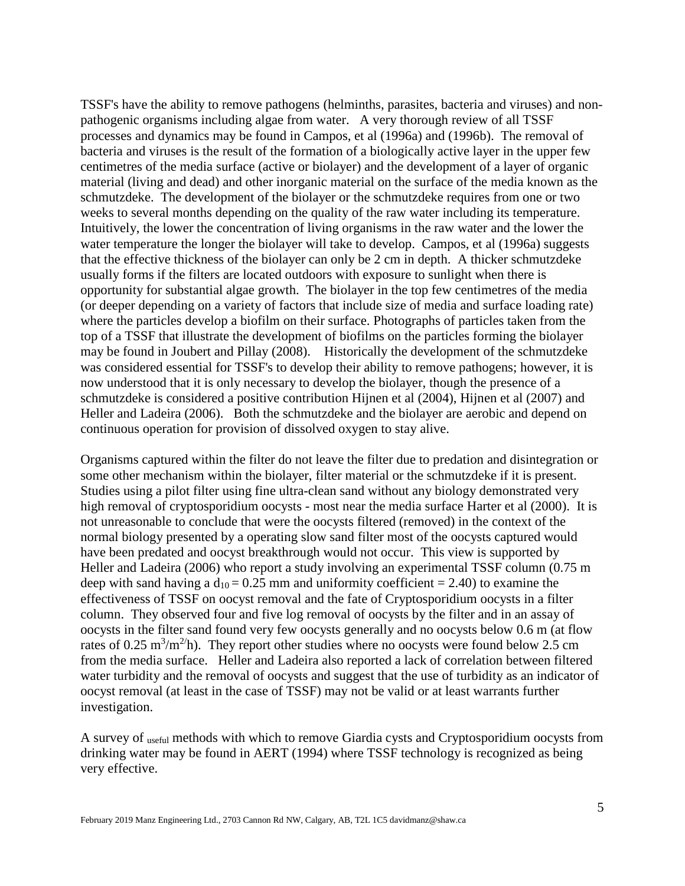TSSF's have the ability to remove pathogens (helminths, parasites, bacteria and viruses) and nonpathogenic organisms including algae from water. A very thorough review of all TSSF processes and dynamics may be found in Campos, et al (1996a) and (1996b). The removal of bacteria and viruses is the result of the formation of a biologically active layer in the upper few centimetres of the media surface (active or biolayer) and the development of a layer of organic material (living and dead) and other inorganic material on the surface of the media known as the schmutzdeke. The development of the biolayer or the schmutzdeke requires from one or two weeks to several months depending on the quality of the raw water including its temperature. Intuitively, the lower the concentration of living organisms in the raw water and the lower the water temperature the longer the biolayer will take to develop. Campos, et al (1996a) suggests that the effective thickness of the biolayer can only be 2 cm in depth. A thicker schmutzdeke usually forms if the filters are located outdoors with exposure to sunlight when there is opportunity for substantial algae growth. The biolayer in the top few centimetres of the media (or deeper depending on a variety of factors that include size of media and surface loading rate) where the particles develop a biofilm on their surface. Photographs of particles taken from the top of a TSSF that illustrate the development of biofilms on the particles forming the biolayer may be found in Joubert and Pillay (2008). Historically the development of the schmutzdeke was considered essential for TSSF's to develop their ability to remove pathogens; however, it is now understood that it is only necessary to develop the biolayer, though the presence of a schmutzdeke is considered a positive contribution Hijnen et al (2004), Hijnen et al (2007) and Heller and Ladeira (2006). Both the schmutzdeke and the biolayer are aerobic and depend on continuous operation for provision of dissolved oxygen to stay alive.

Organisms captured within the filter do not leave the filter due to predation and disintegration or some other mechanism within the biolayer, filter material or the schmutzdeke if it is present. Studies using a pilot filter using fine ultra-clean sand without any biology demonstrated very high removal of cryptosporidium oocysts - most near the media surface Harter et al (2000). It is not unreasonable to conclude that were the oocysts filtered (removed) in the context of the normal biology presented by a operating slow sand filter most of the oocysts captured would have been predated and oocyst breakthrough would not occur. This view is supported by Heller and Ladeira (2006) who report a study involving an experimental TSSF column (0.75 m deep with sand having a  $d_{10} = 0.25$  mm and uniformity coefficient = 2.40) to examine the effectiveness of TSSF on oocyst removal and the fate of Cryptosporidium oocysts in a filter column. They observed four and five log removal of oocysts by the filter and in an assay of oocysts in the filter sand found very few oocysts generally and no oocysts below 0.6 m (at flow rates of 0.25 m<sup>3</sup>/m<sup>2</sup>/h). They report other studies where no oocysts were found below 2.5 cm from the media surface. Heller and Ladeira also reported a lack of correlation between filtered water turbidity and the removal of oocysts and suggest that the use of turbidity as an indicator of oocyst removal (at least in the case of TSSF) may not be valid or at least warrants further investigation.

A survey of useful methods with which to remove Giardia cysts and Cryptosporidium oocysts from drinking water may be found in AERT (1994) where TSSF technology is recognized as being very effective.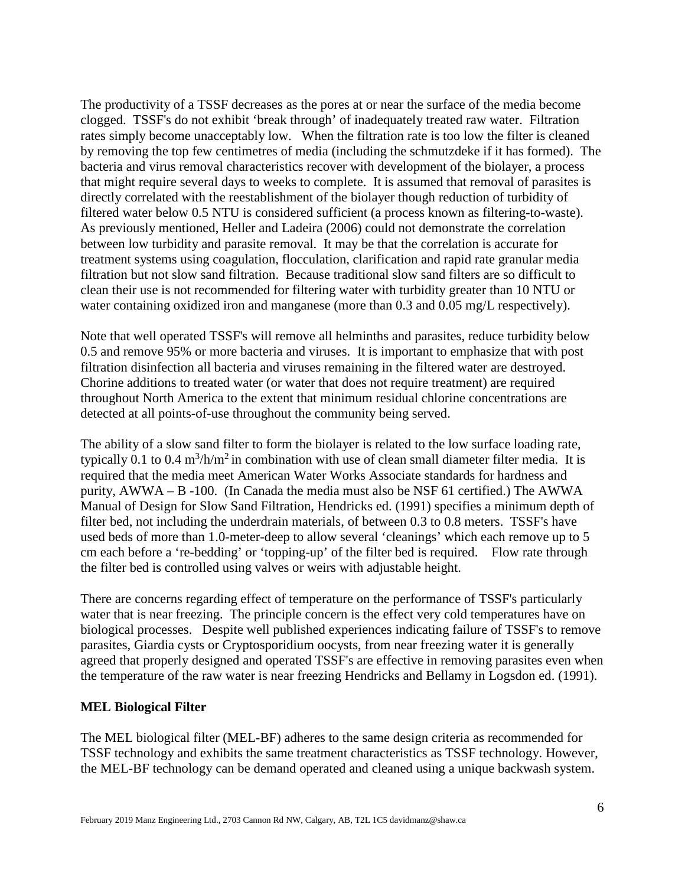The productivity of a TSSF decreases as the pores at or near the surface of the media become clogged. TSSF's do not exhibit 'break through' of inadequately treated raw water. Filtration rates simply become unacceptably low. When the filtration rate is too low the filter is cleaned by removing the top few centimetres of media (including the schmutzdeke if it has formed). The bacteria and virus removal characteristics recover with development of the biolayer, a process that might require several days to weeks to complete. It is assumed that removal of parasites is directly correlated with the reestablishment of the biolayer though reduction of turbidity of filtered water below 0.5 NTU is considered sufficient (a process known as filtering-to-waste). As previously mentioned, Heller and Ladeira (2006) could not demonstrate the correlation between low turbidity and parasite removal. It may be that the correlation is accurate for treatment systems using coagulation, flocculation, clarification and rapid rate granular media filtration but not slow sand filtration. Because traditional slow sand filters are so difficult to clean their use is not recommended for filtering water with turbidity greater than 10 NTU or water containing oxidized iron and manganese (more than 0.3 and 0.05 mg/L respectively).

Note that well operated TSSF's will remove all helminths and parasites, reduce turbidity below 0.5 and remove 95% or more bacteria and viruses. It is important to emphasize that with post filtration disinfection all bacteria and viruses remaining in the filtered water are destroyed. Chorine additions to treated water (or water that does not require treatment) are required throughout North America to the extent that minimum residual chlorine concentrations are detected at all points-of-use throughout the community being served.

The ability of a slow sand filter to form the biolayer is related to the low surface loading rate, typically 0.1 to 0.4  $m^3/h/m^2$  in combination with use of clean small diameter filter media. It is required that the media meet American Water Works Associate standards for hardness and purity, AWWA – B -100. (In Canada the media must also be NSF 61 certified.) The AWWA Manual of Design for Slow Sand Filtration, Hendricks ed. (1991) specifies a minimum depth of filter bed, not including the underdrain materials, of between 0.3 to 0.8 meters. TSSF's have used beds of more than 1.0-meter-deep to allow several 'cleanings' which each remove up to 5 cm each before a 're-bedding' or 'topping-up' of the filter bed is required. Flow rate through the filter bed is controlled using valves or weirs with adjustable height.

There are concerns regarding effect of temperature on the performance of TSSF's particularly water that is near freezing. The principle concern is the effect very cold temperatures have on biological processes. Despite well published experiences indicating failure of TSSF's to remove parasites, Giardia cysts or Cryptosporidium oocysts, from near freezing water it is generally agreed that properly designed and operated TSSF's are effective in removing parasites even when the temperature of the raw water is near freezing Hendricks and Bellamy in Logsdon ed. (1991).

## **MEL Biological Filter**

The MEL biological filter (MEL-BF) adheres to the same design criteria as recommended for TSSF technology and exhibits the same treatment characteristics as TSSF technology. However, the MEL-BF technology can be demand operated and cleaned using a unique backwash system.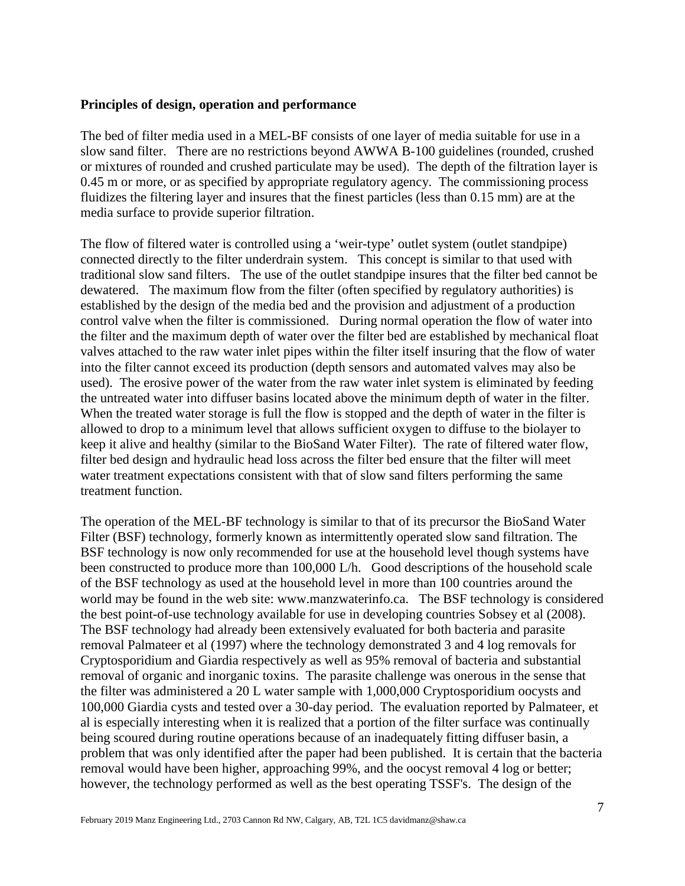#### **Principles of design, operation and performance**

The bed of filter media used in a MEL-BF consists of one layer of media suitable for use in a slow sand filter. There are no restrictions beyond AWWA B-100 guidelines (rounded, crushed or mixtures of rounded and crushed particulate may be used). The depth of the filtration layer is 0.45 m or more, or as specified by appropriate regulatory agency. The commissioning process fluidizes the filtering layer and insures that the finest particles (less than 0.15 mm) are at the media surface to provide superior filtration.

The flow of filtered water is controlled using a 'weir-type' outlet system (outlet standpipe) connected directly to the filter underdrain system. This concept is similar to that used with traditional slow sand filters. The use of the outlet standpipe insures that the filter bed cannot be dewatered. The maximum flow from the filter (often specified by regulatory authorities) is established by the design of the media bed and the provision and adjustment of a production control valve when the filter is commissioned. During normal operation the flow of water into the filter and the maximum depth of water over the filter bed are established by mechanical float valves attached to the raw water inlet pipes within the filter itself insuring that the flow of water into the filter cannot exceed its production (depth sensors and automated valves may also be used). The erosive power of the water from the raw water inlet system is eliminated by feeding the untreated water into diffuser basins located above the minimum depth of water in the filter. When the treated water storage is full the flow is stopped and the depth of water in the filter is allowed to drop to a minimum level that allows sufficient oxygen to diffuse to the biolayer to keep it alive and healthy (similar to the BioSand Water Filter). The rate of filtered water flow, filter bed design and hydraulic head loss across the filter bed ensure that the filter will meet water treatment expectations consistent with that of slow sand filters performing the same treatment function.

The operation of the MEL-BF technology is similar to that of its precursor the BioSand Water Filter (BSF) technology, formerly known as intermittently operated slow sand filtration. The BSF technology is now only recommended for use at the household level though systems have been constructed to produce more than 100,000 L/h. Good descriptions of the household scale of the BSF technology as used at the household level in more than 100 countries around the world may be found in the web site: www.manzwaterinfo.ca. The BSF technology is considered the best point-of-use technology available for use in developing countries Sobsey et al (2008). The BSF technology had already been extensively evaluated for both bacteria and parasite removal Palmateer et al (1997) where the technology demonstrated 3 and 4 log removals for Cryptosporidium and Giardia respectively as well as 95% removal of bacteria and substantial removal of organic and inorganic toxins. The parasite challenge was onerous in the sense that the filter was administered a 20 L water sample with 1,000,000 Cryptosporidium oocysts and 100,000 Giardia cysts and tested over a 30-day period. The evaluation reported by Palmateer, et al is especially interesting when it is realized that a portion of the filter surface was continually being scoured during routine operations because of an inadequately fitting diffuser basin, a problem that was only identified after the paper had been published. It is certain that the bacteria removal would have been higher, approaching 99%, and the oocyst removal 4 log or better; however, the technology performed as well as the best operating TSSF's. The design of the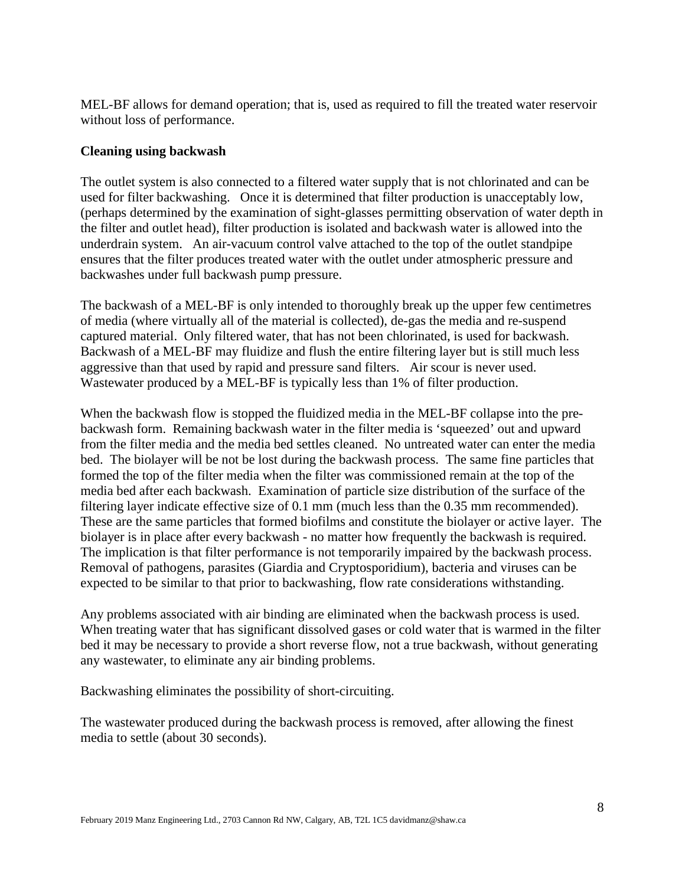MEL-BF allows for demand operation; that is, used as required to fill the treated water reservoir without loss of performance.

## **Cleaning using backwash**

The outlet system is also connected to a filtered water supply that is not chlorinated and can be used for filter backwashing. Once it is determined that filter production is unacceptably low, (perhaps determined by the examination of sight-glasses permitting observation of water depth in the filter and outlet head), filter production is isolated and backwash water is allowed into the underdrain system. An air-vacuum control valve attached to the top of the outlet standpipe ensures that the filter produces treated water with the outlet under atmospheric pressure and backwashes under full backwash pump pressure.

The backwash of a MEL-BF is only intended to thoroughly break up the upper few centimetres of media (where virtually all of the material is collected), de-gas the media and re-suspend captured material. Only filtered water, that has not been chlorinated, is used for backwash. Backwash of a MEL-BF may fluidize and flush the entire filtering layer but is still much less aggressive than that used by rapid and pressure sand filters. Air scour is never used. Wastewater produced by a MEL-BF is typically less than 1% of filter production.

When the backwash flow is stopped the fluidized media in the MEL-BF collapse into the prebackwash form. Remaining backwash water in the filter media is 'squeezed' out and upward from the filter media and the media bed settles cleaned. No untreated water can enter the media bed. The biolayer will be not be lost during the backwash process. The same fine particles that formed the top of the filter media when the filter was commissioned remain at the top of the media bed after each backwash. Examination of particle size distribution of the surface of the filtering layer indicate effective size of 0.1 mm (much less than the 0.35 mm recommended). These are the same particles that formed biofilms and constitute the biolayer or active layer. The biolayer is in place after every backwash - no matter how frequently the backwash is required. The implication is that filter performance is not temporarily impaired by the backwash process. Removal of pathogens, parasites (Giardia and Cryptosporidium), bacteria and viruses can be expected to be similar to that prior to backwashing, flow rate considerations withstanding.

Any problems associated with air binding are eliminated when the backwash process is used. When treating water that has significant dissolved gases or cold water that is warmed in the filter bed it may be necessary to provide a short reverse flow, not a true backwash, without generating any wastewater, to eliminate any air binding problems.

Backwashing eliminates the possibility of short-circuiting.

The wastewater produced during the backwash process is removed, after allowing the finest media to settle (about 30 seconds).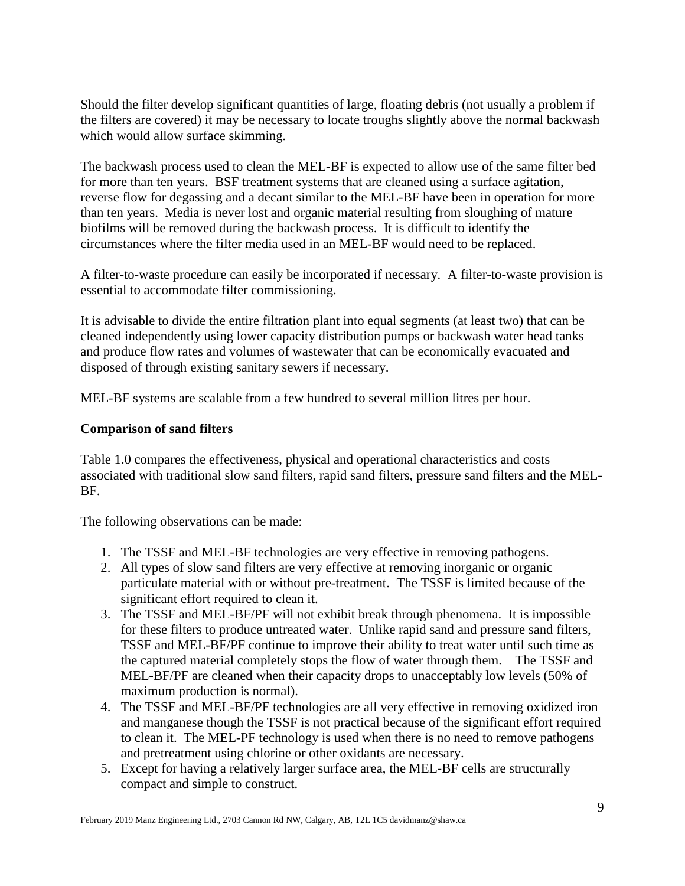Should the filter develop significant quantities of large, floating debris (not usually a problem if the filters are covered) it may be necessary to locate troughs slightly above the normal backwash which would allow surface skimming.

The backwash process used to clean the MEL-BF is expected to allow use of the same filter bed for more than ten years. BSF treatment systems that are cleaned using a surface agitation, reverse flow for degassing and a decant similar to the MEL-BF have been in operation for more than ten years. Media is never lost and organic material resulting from sloughing of mature biofilms will be removed during the backwash process. It is difficult to identify the circumstances where the filter media used in an MEL-BF would need to be replaced.

A filter-to-waste procedure can easily be incorporated if necessary. A filter-to-waste provision is essential to accommodate filter commissioning.

It is advisable to divide the entire filtration plant into equal segments (at least two) that can be cleaned independently using lower capacity distribution pumps or backwash water head tanks and produce flow rates and volumes of wastewater that can be economically evacuated and disposed of through existing sanitary sewers if necessary.

MEL-BF systems are scalable from a few hundred to several million litres per hour.

## **Comparison of sand filters**

Table 1.0 compares the effectiveness, physical and operational characteristics and costs associated with traditional slow sand filters, rapid sand filters, pressure sand filters and the MEL-BF.

The following observations can be made:

- 1. The TSSF and MEL-BF technologies are very effective in removing pathogens.
- 2. All types of slow sand filters are very effective at removing inorganic or organic particulate material with or without pre-treatment. The TSSF is limited because of the significant effort required to clean it.
- 3. The TSSF and MEL-BF/PF will not exhibit break through phenomena. It is impossible for these filters to produce untreated water. Unlike rapid sand and pressure sand filters, TSSF and MEL-BF/PF continue to improve their ability to treat water until such time as the captured material completely stops the flow of water through them. The TSSF and MEL-BF/PF are cleaned when their capacity drops to unacceptably low levels (50% of maximum production is normal).
- 4. The TSSF and MEL-BF/PF technologies are all very effective in removing oxidized iron and manganese though the TSSF is not practical because of the significant effort required to clean it. The MEL-PF technology is used when there is no need to remove pathogens and pretreatment using chlorine or other oxidants are necessary.
- 5. Except for having a relatively larger surface area, the MEL-BF cells are structurally compact and simple to construct.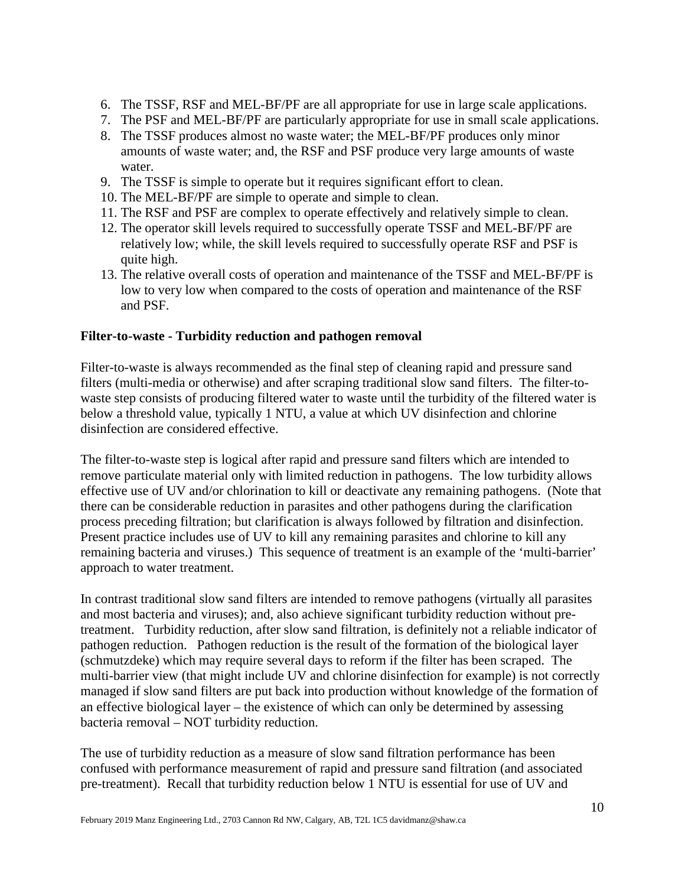- 6. The TSSF, RSF and MEL-BF/PF are all appropriate for use in large scale applications.
- 7. The PSF and MEL-BF/PF are particularly appropriate for use in small scale applications.
- 8. The TSSF produces almost no waste water; the MEL-BF/PF produces only minor amounts of waste water; and, the RSF and PSF produce very large amounts of waste water.
- 9. The TSSF is simple to operate but it requires significant effort to clean.
- 10. The MEL-BF/PF are simple to operate and simple to clean.
- 11. The RSF and PSF are complex to operate effectively and relatively simple to clean.
- 12. The operator skill levels required to successfully operate TSSF and MEL-BF/PF are relatively low; while, the skill levels required to successfully operate RSF and PSF is quite high.
- 13. The relative overall costs of operation and maintenance of the TSSF and MEL-BF/PF is low to very low when compared to the costs of operation and maintenance of the RSF and PSF.

#### **Filter-to-waste - Turbidity reduction and pathogen removal**

Filter-to-waste is always recommended as the final step of cleaning rapid and pressure sand filters (multi-media or otherwise) and after scraping traditional slow sand filters. The filter-towaste step consists of producing filtered water to waste until the turbidity of the filtered water is below a threshold value, typically 1 NTU, a value at which UV disinfection and chlorine disinfection are considered effective.

The filter-to-waste step is logical after rapid and pressure sand filters which are intended to remove particulate material only with limited reduction in pathogens. The low turbidity allows effective use of UV and/or chlorination to kill or deactivate any remaining pathogens. (Note that there can be considerable reduction in parasites and other pathogens during the clarification process preceding filtration; but clarification is always followed by filtration and disinfection. Present practice includes use of UV to kill any remaining parasites and chlorine to kill any remaining bacteria and viruses.) This sequence of treatment is an example of the 'multi-barrier' approach to water treatment.

In contrast traditional slow sand filters are intended to remove pathogens (virtually all parasites and most bacteria and viruses); and, also achieve significant turbidity reduction without pretreatment. Turbidity reduction, after slow sand filtration, is definitely not a reliable indicator of pathogen reduction. Pathogen reduction is the result of the formation of the biological layer (schmutzdeke) which may require several days to reform if the filter has been scraped. The multi-barrier view (that might include UV and chlorine disinfection for example) is not correctly managed if slow sand filters are put back into production without knowledge of the formation of an effective biological layer – the existence of which can only be determined by assessing bacteria removal – NOT turbidity reduction.

The use of turbidity reduction as a measure of slow sand filtration performance has been confused with performance measurement of rapid and pressure sand filtration (and associated pre-treatment). Recall that turbidity reduction below 1 NTU is essential for use of UV and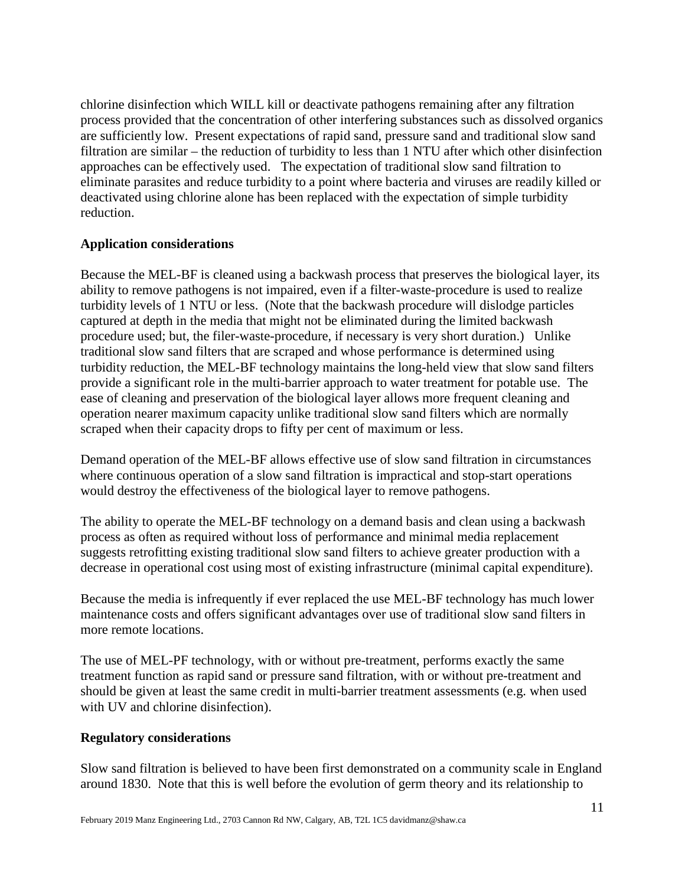chlorine disinfection which WILL kill or deactivate pathogens remaining after any filtration process provided that the concentration of other interfering substances such as dissolved organics are sufficiently low. Present expectations of rapid sand, pressure sand and traditional slow sand filtration are similar – the reduction of turbidity to less than 1 NTU after which other disinfection approaches can be effectively used. The expectation of traditional slow sand filtration to eliminate parasites and reduce turbidity to a point where bacteria and viruses are readily killed or deactivated using chlorine alone has been replaced with the expectation of simple turbidity reduction.

## **Application considerations**

Because the MEL-BF is cleaned using a backwash process that preserves the biological layer, its ability to remove pathogens is not impaired, even if a filter-waste-procedure is used to realize turbidity levels of 1 NTU or less. (Note that the backwash procedure will dislodge particles captured at depth in the media that might not be eliminated during the limited backwash procedure used; but, the filer-waste-procedure, if necessary is very short duration.) Unlike traditional slow sand filters that are scraped and whose performance is determined using turbidity reduction, the MEL-BF technology maintains the long-held view that slow sand filters provide a significant role in the multi-barrier approach to water treatment for potable use. The ease of cleaning and preservation of the biological layer allows more frequent cleaning and operation nearer maximum capacity unlike traditional slow sand filters which are normally scraped when their capacity drops to fifty per cent of maximum or less.

Demand operation of the MEL-BF allows effective use of slow sand filtration in circumstances where continuous operation of a slow sand filtration is impractical and stop-start operations would destroy the effectiveness of the biological layer to remove pathogens.

The ability to operate the MEL-BF technology on a demand basis and clean using a backwash process as often as required without loss of performance and minimal media replacement suggests retrofitting existing traditional slow sand filters to achieve greater production with a decrease in operational cost using most of existing infrastructure (minimal capital expenditure).

Because the media is infrequently if ever replaced the use MEL-BF technology has much lower maintenance costs and offers significant advantages over use of traditional slow sand filters in more remote locations.

The use of MEL-PF technology, with or without pre-treatment, performs exactly the same treatment function as rapid sand or pressure sand filtration, with or without pre-treatment and should be given at least the same credit in multi-barrier treatment assessments (e.g. when used with UV and chlorine disinfection).

## **Regulatory considerations**

Slow sand filtration is believed to have been first demonstrated on a community scale in England around 1830. Note that this is well before the evolution of germ theory and its relationship to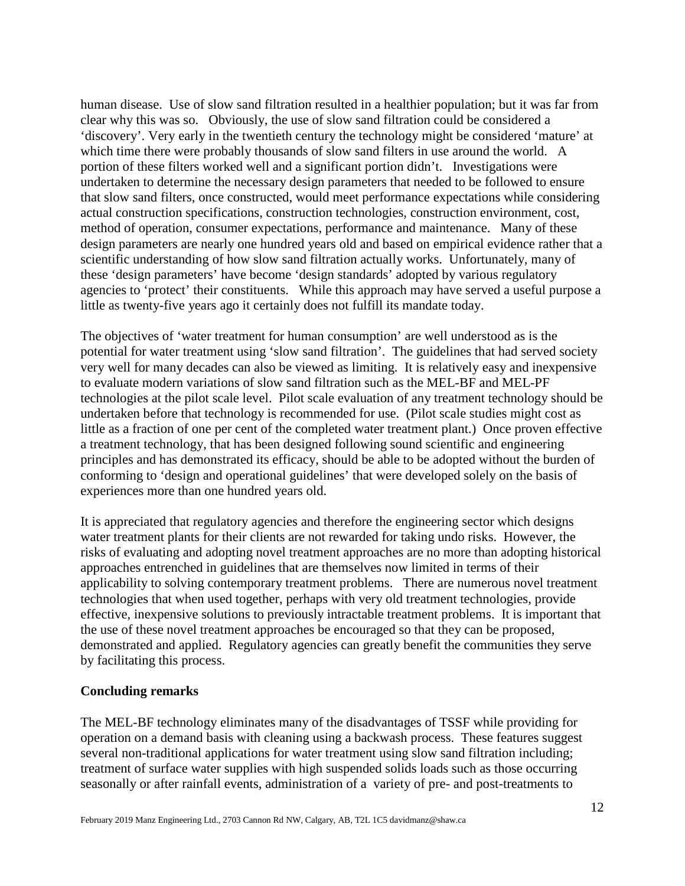human disease. Use of slow sand filtration resulted in a healthier population; but it was far from clear why this was so. Obviously, the use of slow sand filtration could be considered a 'discovery'. Very early in the twentieth century the technology might be considered 'mature' at which time there were probably thousands of slow sand filters in use around the world. A portion of these filters worked well and a significant portion didn't. Investigations were undertaken to determine the necessary design parameters that needed to be followed to ensure that slow sand filters, once constructed, would meet performance expectations while considering actual construction specifications, construction technologies, construction environment, cost, method of operation, consumer expectations, performance and maintenance. Many of these design parameters are nearly one hundred years old and based on empirical evidence rather that a scientific understanding of how slow sand filtration actually works. Unfortunately, many of these 'design parameters' have become 'design standards' adopted by various regulatory agencies to 'protect' their constituents. While this approach may have served a useful purpose a little as twenty-five years ago it certainly does not fulfill its mandate today.

The objectives of 'water treatment for human consumption' are well understood as is the potential for water treatment using 'slow sand filtration'. The guidelines that had served society very well for many decades can also be viewed as limiting. It is relatively easy and inexpensive to evaluate modern variations of slow sand filtration such as the MEL-BF and MEL-PF technologies at the pilot scale level. Pilot scale evaluation of any treatment technology should be undertaken before that technology is recommended for use. (Pilot scale studies might cost as little as a fraction of one per cent of the completed water treatment plant.) Once proven effective a treatment technology, that has been designed following sound scientific and engineering principles and has demonstrated its efficacy, should be able to be adopted without the burden of conforming to 'design and operational guidelines' that were developed solely on the basis of experiences more than one hundred years old.

It is appreciated that regulatory agencies and therefore the engineering sector which designs water treatment plants for their clients are not rewarded for taking undo risks. However, the risks of evaluating and adopting novel treatment approaches are no more than adopting historical approaches entrenched in guidelines that are themselves now limited in terms of their applicability to solving contemporary treatment problems. There are numerous novel treatment technologies that when used together, perhaps with very old treatment technologies, provide effective, inexpensive solutions to previously intractable treatment problems. It is important that the use of these novel treatment approaches be encouraged so that they can be proposed, demonstrated and applied. Regulatory agencies can greatly benefit the communities they serve by facilitating this process.

#### **Concluding remarks**

The MEL-BF technology eliminates many of the disadvantages of TSSF while providing for operation on a demand basis with cleaning using a backwash process. These features suggest several non-traditional applications for water treatment using slow sand filtration including; treatment of surface water supplies with high suspended solids loads such as those occurring seasonally or after rainfall events, administration of a variety of pre- and post-treatments to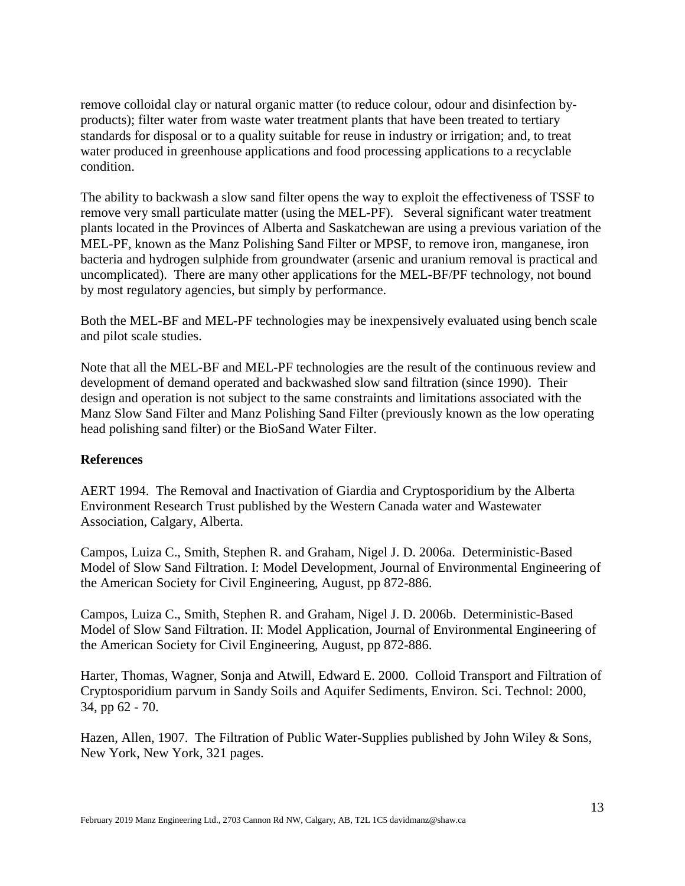remove colloidal clay or natural organic matter (to reduce colour, odour and disinfection byproducts); filter water from waste water treatment plants that have been treated to tertiary standards for disposal or to a quality suitable for reuse in industry or irrigation; and, to treat water produced in greenhouse applications and food processing applications to a recyclable condition.

The ability to backwash a slow sand filter opens the way to exploit the effectiveness of TSSF to remove very small particulate matter (using the MEL-PF). Several significant water treatment plants located in the Provinces of Alberta and Saskatchewan are using a previous variation of the MEL-PF, known as the Manz Polishing Sand Filter or MPSF, to remove iron, manganese, iron bacteria and hydrogen sulphide from groundwater (arsenic and uranium removal is practical and uncomplicated). There are many other applications for the MEL-BF/PF technology, not bound by most regulatory agencies, but simply by performance.

Both the MEL-BF and MEL-PF technologies may be inexpensively evaluated using bench scale and pilot scale studies.

Note that all the MEL-BF and MEL-PF technologies are the result of the continuous review and development of demand operated and backwashed slow sand filtration (since 1990). Their design and operation is not subject to the same constraints and limitations associated with the Manz Slow Sand Filter and Manz Polishing Sand Filter (previously known as the low operating head polishing sand filter) or the BioSand Water Filter.

## **References**

AERT 1994. The Removal and Inactivation of Giardia and Cryptosporidium by the Alberta Environment Research Trust published by the Western Canada water and Wastewater Association, Calgary, Alberta.

Campos, Luiza C., Smith, Stephen R. and Graham, Nigel J. D. 2006a. Deterministic-Based Model of Slow Sand Filtration. I: Model Development, Journal of Environmental Engineering of the American Society for Civil Engineering, August, pp 872-886.

Campos, Luiza C., Smith, Stephen R. and Graham, Nigel J. D. 2006b. Deterministic-Based Model of Slow Sand Filtration. II: Model Application, Journal of Environmental Engineering of the American Society for Civil Engineering, August, pp 872-886.

Harter, Thomas, Wagner, Sonja and Atwill, Edward E. 2000. Colloid Transport and Filtration of Cryptosporidium parvum in Sandy Soils and Aquifer Sediments, Environ. Sci. Technol: 2000, 34, pp 62 - 70.

Hazen, Allen, 1907. The Filtration of Public Water-Supplies published by John Wiley & Sons, New York, New York, 321 pages.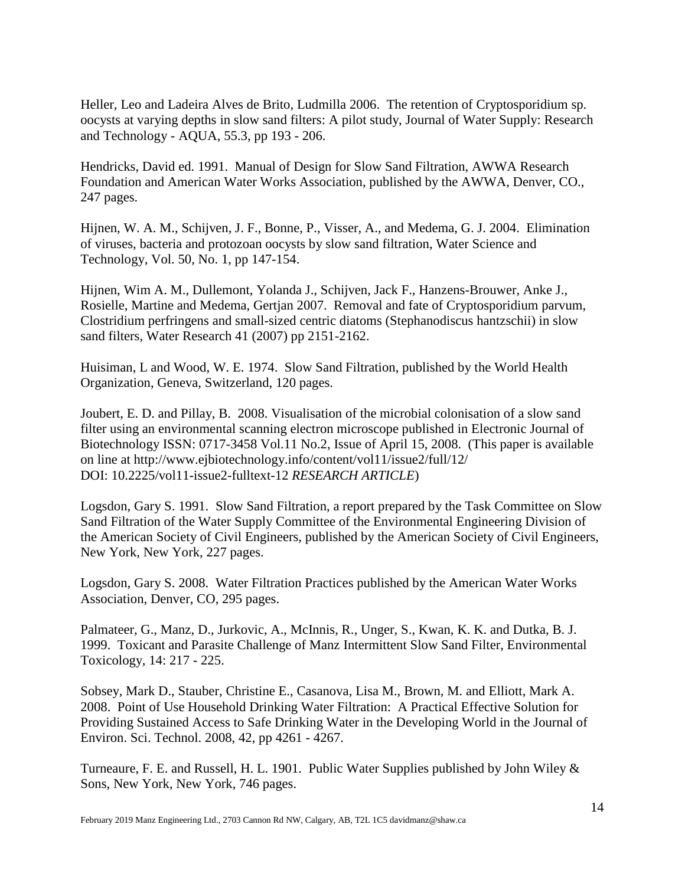Heller, Leo and Ladeira Alves de Brito, Ludmilla 2006. The retention of Cryptosporidium sp. oocysts at varying depths in slow sand filters: A pilot study, Journal of Water Supply: Research and Technology - AQUA, 55.3, pp 193 - 206.

Hendricks, David ed. 1991. Manual of Design for Slow Sand Filtration, AWWA Research Foundation and American Water Works Association, published by the AWWA, Denver, CO., 247 pages.

Hijnen, W. A. M., Schijven, J. F., Bonne, P., Visser, A., and Medema, G. J. 2004. Elimination of viruses, bacteria and protozoan oocysts by slow sand filtration, Water Science and Technology, Vol. 50, No. 1, pp 147-154.

Hijnen, Wim A. M., Dullemont, Yolanda J., Schijven, Jack F., Hanzens-Brouwer, Anke J., Rosielle, Martine and Medema, Gertjan 2007. Removal and fate of Cryptosporidium parvum, Clostridium perfringens and small-sized centric diatoms (Stephanodiscus hantzschii) in slow sand filters, Water Research 41 (2007) pp 2151-2162.

Huisiman, L and Wood, W. E. 1974. Slow Sand Filtration, published by the World Health Organization, Geneva, Switzerland, 120 pages.

Joubert, E. D. and Pillay, B. 2008. Visualisation of the microbial colonisation of a slow sand filter using an environmental scanning electron microscope published in Electronic Journal of Biotechnology ISSN: 0717-3458 Vol.11 No.2, Issue of April 15, 2008. (This paper is available on line at http://www.ejbiotechnology.info/content/vol11/issue2/full/12/ DOI: 10.2225/vol11-issue2-fulltext-12 *RESEARCH ARTICLE*)

Logsdon, Gary S. 1991. Slow Sand Filtration, a report prepared by the Task Committee on Slow Sand Filtration of the Water Supply Committee of the Environmental Engineering Division of the American Society of Civil Engineers, published by the American Society of Civil Engineers, New York, New York, 227 pages.

Logsdon, Gary S. 2008. Water Filtration Practices published by the American Water Works Association, Denver, CO, 295 pages.

Palmateer, G., Manz, D., Jurkovic, A., McInnis, R., Unger, S., Kwan, K. K. and Dutka, B. J. 1999. Toxicant and Parasite Challenge of Manz Intermittent Slow Sand Filter, Environmental Toxicology, 14: 217 - 225.

Sobsey, Mark D., Stauber, Christine E., Casanova, Lisa M., Brown, M. and Elliott, Mark A. 2008. Point of Use Household Drinking Water Filtration: A Practical Effective Solution for Providing Sustained Access to Safe Drinking Water in the Developing World in the Journal of Environ. Sci. Technol. 2008, 42, pp 4261 - 4267.

Turneaure, F. E. and Russell, H. L. 1901. Public Water Supplies published by John Wiley & Sons, New York, New York, 746 pages.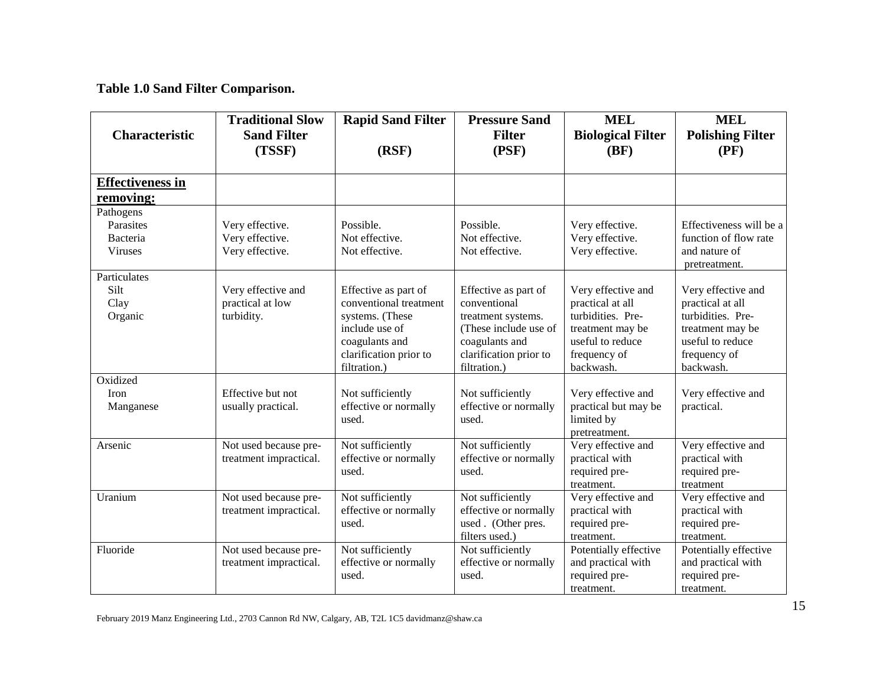**Table 1.0 Sand Filter Comparison.**

|                         | <b>Traditional Slow</b> | <b>Rapid Sand Filter</b> | <b>Pressure Sand</b>                   | <b>MEL</b>                | <b>MEL</b>                |
|-------------------------|-------------------------|--------------------------|----------------------------------------|---------------------------|---------------------------|
| Characteristic          | <b>Sand Filter</b>      |                          | <b>Filter</b>                          | <b>Biological Filter</b>  | <b>Polishing Filter</b>   |
|                         | (TSSF)                  | (RSF)                    | (PSF)                                  | (BF)                      | (PF)                      |
|                         |                         |                          |                                        |                           |                           |
| <b>Effectiveness in</b> |                         |                          |                                        |                           |                           |
| removing:               |                         |                          |                                        |                           |                           |
| Pathogens               |                         |                          |                                        |                           |                           |
| Parasites               | Very effective.         | Possible.                | Possible.                              | Very effective.           | Effectiveness will be a   |
| Bacteria                | Very effective.         | Not effective.           | Not effective.                         | Very effective.           | function of flow rate     |
| Viruses                 | Very effective.         | Not effective.           | Not effective.                         | Very effective.           | and nature of             |
|                         |                         |                          |                                        |                           | pretreatment.             |
| Particulates            |                         |                          |                                        |                           |                           |
| Silt                    | Very effective and      | Effective as part of     | Effective as part of                   | Very effective and        | Very effective and        |
| Clay                    | practical at low        | conventional treatment   | conventional                           | practical at all          | practical at all          |
| Organic                 | turbidity.              | systems. (These          | treatment systems.                     | turbidities. Pre-         | turbidities. Pre-         |
|                         |                         | include use of           | (These include use of                  | treatment may be          | treatment may be          |
|                         |                         | coagulants and           | coagulants and                         | useful to reduce          | useful to reduce          |
|                         |                         | clarification prior to   | clarification prior to<br>filtration.) | frequency of<br>backwash. | frequency of<br>backwash. |
| Oxidized                |                         | filtration.)             |                                        |                           |                           |
| Iron                    | Effective but not       | Not sufficiently         | Not sufficiently                       | Very effective and        | Very effective and        |
| Manganese               | usually practical.      | effective or normally    | effective or normally                  | practical but may be      | practical.                |
|                         |                         | used.                    | used.                                  | limited by                |                           |
|                         |                         |                          |                                        | pretreatment.             |                           |
| Arsenic                 | Not used because pre-   | Not sufficiently         | Not sufficiently                       | Very effective and        | Very effective and        |
|                         | treatment impractical.  | effective or normally    | effective or normally                  | practical with            | practical with            |
|                         |                         | used.                    | used.                                  | required pre-             | required pre-             |
|                         |                         |                          |                                        | treatment.                | treatment                 |
| Uranium                 | Not used because pre-   | Not sufficiently         | Not sufficiently                       | Very effective and        | Very effective and        |
|                         | treatment impractical.  | effective or normally    | effective or normally                  | practical with            | practical with            |
|                         |                         | used.                    | used. (Other pres.                     | required pre-             | required pre-             |
|                         |                         |                          | filters used.)                         | treatment.                | treatment.                |
| Fluoride                | Not used because pre-   | Not sufficiently         | Not sufficiently                       | Potentially effective     | Potentially effective     |
|                         | treatment impractical.  | effective or normally    | effective or normally                  | and practical with        | and practical with        |
|                         |                         | used.                    | used.                                  | required pre-             | required pre-             |
|                         |                         |                          |                                        | treatment.                | treatment.                |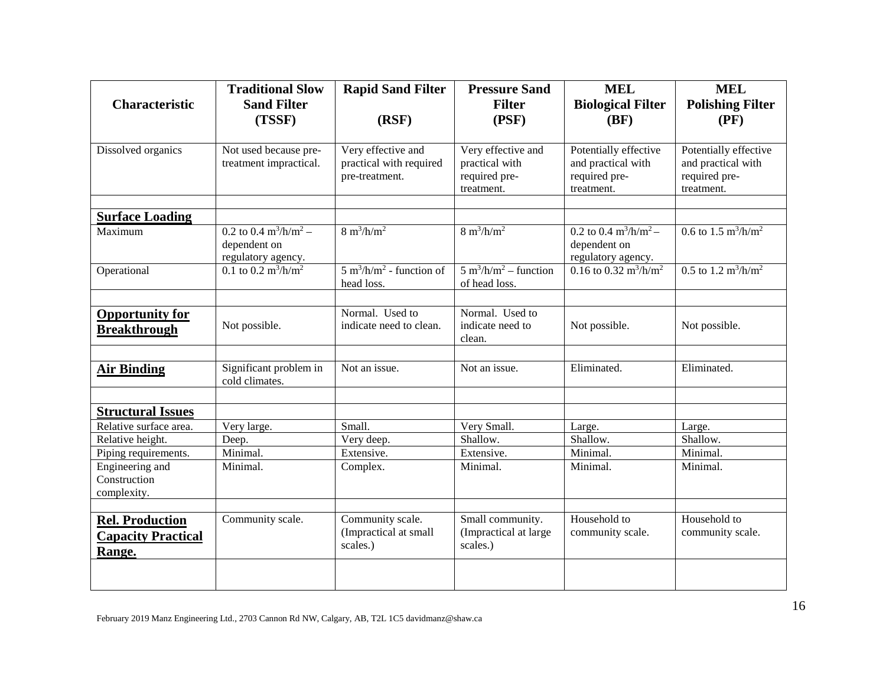|                           | <b>Traditional Slow</b>                       | <b>Rapid Sand Filter</b>                   | <b>Pressure Sand</b>                                      | <b>MEL</b>                                        | <b>MEL</b>                                  |
|---------------------------|-----------------------------------------------|--------------------------------------------|-----------------------------------------------------------|---------------------------------------------------|---------------------------------------------|
| <b>Characteristic</b>     | <b>Sand Filter</b>                            |                                            | <b>Filter</b>                                             | <b>Biological Filter</b>                          | <b>Polishing Filter</b>                     |
|                           | (TSSF)                                        | (RSF)                                      | (PSF)                                                     | (BF)                                              | (PF)                                        |
|                           |                                               |                                            |                                                           |                                                   |                                             |
| Dissolved organics        | Not used because pre-                         | Very effective and                         | Very effective and                                        | Potentially effective                             | Potentially effective                       |
|                           | treatment impractical.                        | practical with required                    | practical with                                            | and practical with                                | and practical with                          |
|                           |                                               | pre-treatment.                             | required pre-                                             | required pre-                                     | required pre-                               |
|                           |                                               |                                            | treatment.                                                | treatment.                                        | treatment.                                  |
| <b>Surface Loading</b>    |                                               |                                            |                                                           |                                                   |                                             |
| Maximum                   | 0.2 to 0.4 $\text{m}^3/\text{h}/\text{m}^2$ - | $8 \text{ m}^3/\text{h/m}^2$               | $8 \text{ m}^3/\text{h/m}^2$                              | $0.2$ to $0.4$ m <sup>3</sup> /h/m <sup>2</sup> – | 0.6 to 1.5 $\text{m}^3/\text{h}/\text{m}^2$ |
|                           | dependent on                                  |                                            |                                                           | dependent on                                      |                                             |
|                           | regulatory agency.                            |                                            |                                                           | regulatory agency.                                |                                             |
| Operational               | 0.1 to 0.2 $\frac{m^3}{h/m^2}$                | $5 \text{ m}^3/\text{h/m}^2$ - function of | $\frac{1}{2}$ m <sup>3</sup> /h/m <sup>2</sup> – function | 0.16 to 0.32 $\frac{m^3}{h/m^2}$                  | $0.5$ to $1.2 \text{ m}^3/\text{h/m}^2$     |
|                           |                                               | head loss.                                 | of head loss.                                             |                                                   |                                             |
|                           |                                               |                                            |                                                           |                                                   |                                             |
| <b>Opportunity for</b>    |                                               | Normal. Used to                            | Normal. Used to                                           |                                                   |                                             |
| <b>Breakthrough</b>       | Not possible.                                 | indicate need to clean.                    | indicate need to                                          | Not possible.                                     | Not possible.                               |
|                           |                                               |                                            | clean.                                                    |                                                   |                                             |
| <b>Air Binding</b>        | Significant problem in                        | Not an issue.                              | Not an issue.                                             | Eliminated.                                       | Eliminated.                                 |
|                           | cold climates.                                |                                            |                                                           |                                                   |                                             |
|                           |                                               |                                            |                                                           |                                                   |                                             |
| <b>Structural Issues</b>  |                                               |                                            |                                                           |                                                   |                                             |
| Relative surface area.    | Very large.                                   | Small.                                     | Very Small.                                               | Large.                                            | Large.                                      |
| Relative height.          | Deep.                                         | Very deep.                                 | Shallow.                                                  | Shallow.                                          | Shallow.                                    |
| Piping requirements.      | Minimal.                                      | Extensive.                                 | Extensive.                                                | Minimal.                                          | Minimal.                                    |
| Engineering and           | Minimal.                                      | Complex.                                   | Minimal.                                                  | Minimal.                                          | Minimal.                                    |
| Construction              |                                               |                                            |                                                           |                                                   |                                             |
| complexity.               |                                               |                                            |                                                           |                                                   |                                             |
|                           | Community scale.                              | Community scale.                           | Small community.                                          | Household to                                      | Household to                                |
| <b>Rel. Production</b>    |                                               | (Impractical at small                      | (Impractical at large                                     | community scale.                                  | community scale.                            |
| <b>Capacity Practical</b> |                                               | scales.)                                   | scales.)                                                  |                                                   |                                             |
| Range.                    |                                               |                                            |                                                           |                                                   |                                             |
|                           |                                               |                                            |                                                           |                                                   |                                             |
|                           |                                               |                                            |                                                           |                                                   |                                             |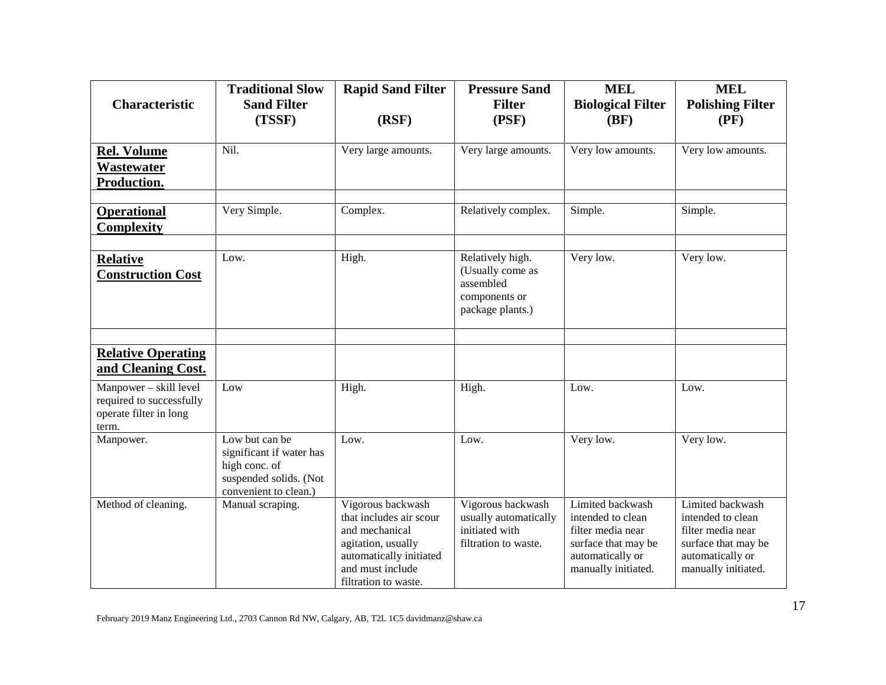| <b>Characteristic</b>                                                                 | <b>Traditional Slow</b><br><b>Sand Filter</b><br>(TSSF)                                                        | <b>Rapid Sand Filter</b><br>(RSF)                                                                                                                           | <b>Pressure Sand</b><br><b>Filter</b><br>(PSF)                                         | <b>MEL</b><br><b>Biological Filter</b><br>(BF)                                                                               | <b>MEL</b><br><b>Polishing Filter</b><br>(PF)                                                                                |
|---------------------------------------------------------------------------------------|----------------------------------------------------------------------------------------------------------------|-------------------------------------------------------------------------------------------------------------------------------------------------------------|----------------------------------------------------------------------------------------|------------------------------------------------------------------------------------------------------------------------------|------------------------------------------------------------------------------------------------------------------------------|
| <b>Rel. Volume</b><br>Wastewater<br>Production.                                       | Nil.                                                                                                           | Very large amounts.                                                                                                                                         | Very large amounts.                                                                    | Very low amounts.                                                                                                            | Very low amounts.                                                                                                            |
| <b>Operational</b><br><b>Complexity</b>                                               | Very Simple.                                                                                                   | Complex.                                                                                                                                                    | Relatively complex.                                                                    | Simple.                                                                                                                      | Simple.                                                                                                                      |
| <b>Relative</b><br><b>Construction Cost</b>                                           | Low.                                                                                                           | High.                                                                                                                                                       | Relatively high.<br>(Usually come as<br>assembled<br>components or<br>package plants.) | Very low.                                                                                                                    | Very low.                                                                                                                    |
|                                                                                       |                                                                                                                |                                                                                                                                                             |                                                                                        |                                                                                                                              |                                                                                                                              |
| <b>Relative Operating</b><br>and Cleaning Cost.                                       |                                                                                                                |                                                                                                                                                             |                                                                                        |                                                                                                                              |                                                                                                                              |
| Manpower - skill level<br>required to successfully<br>operate filter in long<br>term. | Low                                                                                                            | High.                                                                                                                                                       | High.                                                                                  | Low.                                                                                                                         | Low.                                                                                                                         |
| Manpower.                                                                             | Low but can be<br>significant if water has<br>high conc. of<br>suspended solids. (Not<br>convenient to clean.) | Low.                                                                                                                                                        | Low.                                                                                   | Very low.                                                                                                                    | Very low.                                                                                                                    |
| Method of cleaning.                                                                   | Manual scraping.                                                                                               | Vigorous backwash<br>that includes air scour<br>and mechanical<br>agitation, usually<br>automatically initiated<br>and must include<br>filtration to waste. | Vigorous backwash<br>usually automatically<br>initiated with<br>filtration to waste.   | Limited backwash<br>intended to clean<br>filter media near<br>surface that may be<br>automatically or<br>manually initiated. | Limited backwash<br>intended to clean<br>filter media near<br>surface that may be<br>automatically or<br>manually initiated. |